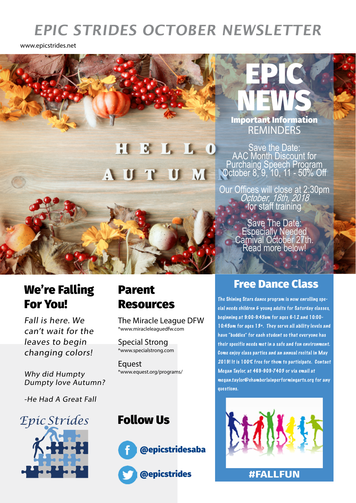## **EPIC STRIDES OCTOBER NEWSLETTER**

www.epicstrides.net

## M - 4

#### NEWS **REMINDERS** Important Information

EPIC

Save the Date: AAC Month Discount for Purchaing Speech Program October 8, 9, 10, 11 - 50% Off

Our Offices will close at 2:30pm<br>*October, 18th, 2018*<br>for staff training

Save The Date: Especially Needed Carnival October 27th. Read more below!

#### We're Falling For You!

Fall is here. We can't wait for the leaves to begin changing colors!

Why did Humpty Dumpty love Autumn?

-He Had A Great Fall



# Resources

The Miracle League DFW \*www.miracleleaguedfw.com

Special Strong \*www.specialstrong.com

**Equest** \*www.equest.org/programs/

#### Follow Us



#### Parent Free Dance Class

The Shining Stars dance program is now enrolling special needs children & young adults for Saturday classes, beginning at 9:00-9:45am for ages 6-12 and 10:00- 10:45am for ages 13+. They ser ve all ability levels and have "buddies" for each student so that everyone has their specific needs met in a safe and fun environment. Come enjoy class parties and an annual recital in May 2019! It is 100% free for them to participate. Contact Megan Taylor, at 469-909-7403 or via email at megan.taylor@chamberlainperformingarts.org for any questions.



**#FALLFUN**